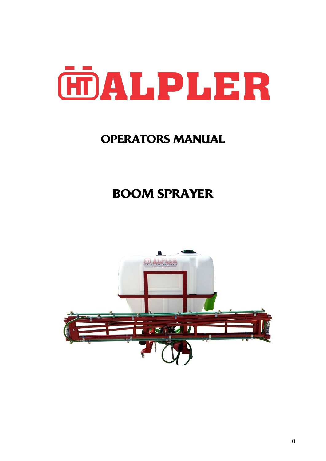

## **OPERATORS MANUAL**

# **BOOM SPRAYER**

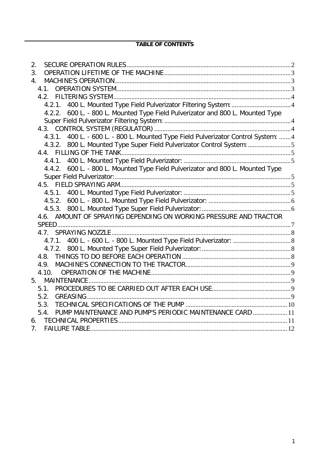## **TABLE OF CONTENTS**

| 2.                                                                                |  |
|-----------------------------------------------------------------------------------|--|
| 3.                                                                                |  |
| 4.                                                                                |  |
|                                                                                   |  |
|                                                                                   |  |
| 4.2.1. 400 L. Mounted Type Field Pulverizator Filtering System:  4                |  |
| 4.2.2. 600 L. - 800 L. Mounted Type Field Pulverizator and 800 L. Mounted Type    |  |
|                                                                                   |  |
|                                                                                   |  |
| 4.3.1. 400 L. - 600 L. - 800 L. Mounted Type Field Pulverizator Control System: 4 |  |
| 4.3.2. 800 L. Mounted Type Super Field Pulverizator Control System: 5             |  |
|                                                                                   |  |
|                                                                                   |  |
| 4.4.2. 600 L. - 800 L. Mounted Type Field Pulverizator and 800 L. Mounted Type    |  |
|                                                                                   |  |
|                                                                                   |  |
|                                                                                   |  |
|                                                                                   |  |
|                                                                                   |  |
| 4.6. AMOUNT OF SPRAYING DEPENDING ON WORKING PRESSURE AND TRACTOR                 |  |
|                                                                                   |  |
|                                                                                   |  |
|                                                                                   |  |
|                                                                                   |  |
|                                                                                   |  |
| 4.9.                                                                              |  |
| 4.10.                                                                             |  |
|                                                                                   |  |
| 5.1.                                                                              |  |
| 5.2.                                                                              |  |
| 5.3.                                                                              |  |
| 5.4. PUMP MAINTENANCE AND PUMP'S PERIODIC MAINTENANCE CARD  11                    |  |
|                                                                                   |  |
| 7.                                                                                |  |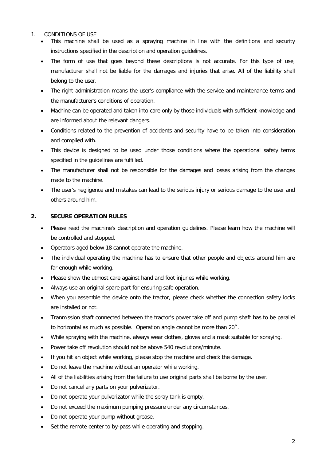#### 1. CONDITIONS OF USE

- This machine shall be used as a spraying machine in line with the definitions and security instructions specified in the description and operation guidelines.
- The form of use that goes beyond these descriptions is not accurate. For this type of use, manufacturer shall not be liable for the damages and injuries that arise. All of the liability shall belong to the user.
- The right administration means the user's compliance with the service and maintenance terms and the manufacturer's conditions of operation.
- Machine can be operated and taken into care only by those individuals with sufficient knowledge and are informed about the relevant dangers.
- Conditions related to the prevention of accidents and security have to be taken into consideration and complied with.
- This device is designed to be used under those conditions where the operational safety terms specified in the guidelines are fulfilled.
- The manufacturer shall not be responsible for the damages and losses arising from the changes made to the machine.
- The user's negligence and mistakes can lead to the serious injury or serious damage to the user and others around him.

## <span id="page-2-0"></span>**2. SECURE OPERATION RULES**

- Please read the machine's description and operation guidelines. Please learn how the machine will be controlled and stopped.
- Operators aged below 18 cannot operate the machine.
- The individual operating the machine has to ensure that other people and objects around him are far enough while working.
- Please show the utmost care against hand and foot injuries while working.
- Always use an original spare part for ensuring safe operation.
- When you assemble the device onto the tractor, please check whether the connection safety locks are installed or not.
- Tranmission shaft connected between the tractor's power take off and pump shaft has to be parallel to horizontal as much as possible. Operation angle cannot be more than 20˚.
- While spraying with the machine, always wear clothes, gloves and a mask suitable for spraying.
- Power take off revolution should not be above 540 revolutions/minute.
- If you hit an object while working, please stop the machine and check the damage.
- Do not leave the machine without an operator while working.
- All of the liabilities arising from the failure to use original parts shall be borne by the user.
- Do not cancel any parts on your pulverizator.
- Do not operate your pulverizator while the spray tank is empty.
- Do not exceed the maximum pumping pressure under any circumstances.
- Do not operate your pump without grease.
- Set the remote center to by-pass while operating and stopping.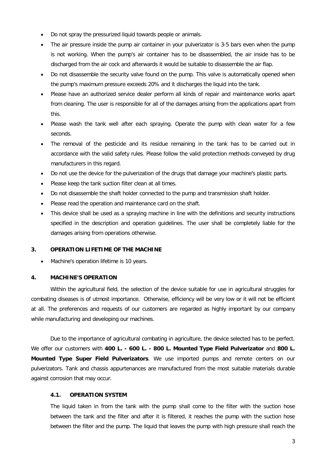- Do not spray the pressurized liquid towards people or animals.
- The air pressure inside the pump air container in your pulverizator is 3-5 bars even when the pump is not working. When the pump's air container has to be disassembled, the air inside has to be discharged from the air cock and afterwards it would be suitable to disassemble the air flap.
- Do not disassemble the security valve found on the pump. This valve is automatically opened when the pump's maximum pressure exceeds 20% and it discharges the liquid into the tank.
- Please have an authorized service dealer perform all kinds of repair and maintenance works apart from cleaning. The user is responsible for all of the damages arising from the applications apart from this.
- Please wash the tank well after each spraying. Operate the pump with clean water for a few seconds.
- The removal of the pesticide and its residue remaining in the tank has to be carried out in accordance with the valid safety rules. Please follow the valid protection methods conveyed by drug manufacturers in this regard.
- Do not use the device for the pulverization of the drugs that damage your machine's plastic parts.
- Please keep the tank suction filter clean at all times.
- Do not disassemble the shaft holder connected to the pump and transmission shaft holder.
- Please read the operation and maintenance card on the shaft.
- This device shall be used as a spraying machine in line with the definitions and security instructions specified in the description and operation guidelines. The user shall be completely liable for the damages arising from operations otherwise.

#### <span id="page-3-0"></span>**3. OPERATION LIFETIME OF THE MACHINE**

• Machine's operation lifetime is 10 years.

#### <span id="page-3-1"></span>**4. MACHINE'S OPERATION**

Within the agricultural field, the selection of the device suitable for use in agricultural struggles for combating diseases is of utmost importance. Otherwise, efficiency will be very low or it will not be efficient at all. The preferences and requests of our customers are regarded as highly important by our company while manufacturing and developing our machines.

Due to the importance of agricultural combating in agriculture, the device selected has to be perfect. We offer our customers with **400 L. - 600 L. - 800 L. Mounted Type Field Pulverizator** and **800 L. Mounted Type Super Field Pulverizators**. We use imported pumps and remote centers on our pulverizators. Tank and chassis appurtenances are manufactured from the most suitable materials durable against corrosion that may occur.

#### <span id="page-3-2"></span>**4.1. OPERATION SYSTEM**

The liquid taken in from the tank with the pump shall come to the filter with the suction hose between the tank and the filter and after it is filtered, it reaches the pump with the suction hose between the filter and the pump. The liquid that leaves the pump with high pressure shall reach the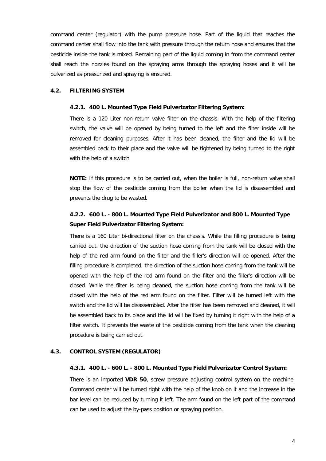command center (regulator) with the pump pressure hose. Part of the liquid that reaches the command center shall flow into the tank with pressure through the return hose and ensures that the pesticide inside the tank is mixed. Remaining part of the liquid coming in from the command center shall reach the nozzles found on the spraying arms through the spraying hoses and it will be pulverized as pressurized and spraying is ensured.

#### <span id="page-4-1"></span><span id="page-4-0"></span>**4.2. FILTERING SYSTEM**

#### **4.2.1. 400 L. Mounted Type Field Pulverizator Filtering System:**

There is a 120 Liter non-return valve filter on the chassis. With the help of the filtering switch, the valve will be opened by being turned to the left and the filter inside will be removed for cleaning purposes. After it has been cleaned, the filter and the lid will be assembled back to their place and the valve will be tightened by being turned to the right with the help of a switch.

**NOTE:** If this procedure is to be carried out, when the boiler is full, non-return valve shall stop the flow of the pesticide coming from the boiler when the lid is disassembled and prevents the drug to be wasted.

## <span id="page-4-2"></span>**4.2.2. 600 L. - 800 L. Mounted Type Field Pulverizator and 800 L. Mounted Type Super Field Pulverizator Filtering System:**

There is a 160 Liter bi-directional filter on the chassis. While the filling procedure is being carried out, the direction of the suction hose coming from the tank will be closed with the help of the red arm found on the filter and the filler's direction will be opened. After the filling procedure is completed, the direction of the suction hose coming from the tank will be opened with the help of the red arm found on the filter and the filler's direction will be closed. While the filter is being cleaned, the suction hose coming from the tank will be closed with the help of the red arm found on the filter. Filter will be turned left with the switch and the lid will be disassembled. After the filter has been removed and cleaned, it will be assembled back to its place and the lid will be fixed by turning it right with the help of a filter switch. It prevents the waste of the pesticide coming from the tank when the cleaning procedure is being carried out.

#### <span id="page-4-4"></span><span id="page-4-3"></span>**4.3. CONTROL SYSTEM (REGULATOR)**

## **4.3.1. 400 L. - 600 L. - 800 L. Mounted Type Field Pulverizator Control System:**

There is an imported **VDR 50**, screw pressure adjusting control system on the machine. Command center will be turned right with the help of the knob on it and the increase in the bar level can be reduced by turning it left. The arm found on the left part of the command can be used to adjust the by-pass position or spraying position.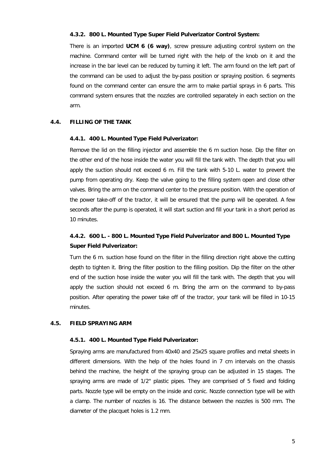#### <span id="page-5-0"></span>**4.3.2. 800 L. Mounted Type Super Field Pulverizator Control System:**

There is an imported **UCM 6 (6 way)**, screw pressure adjusting control system on the machine. Command center will be turned right with the help of the knob on it and the increase in the bar level can be reduced by turning it left. The arm found on the left part of the command can be used to adjust the by-pass position or spraying position. 6 segments found on the command center can ensure the arm to make partial sprays in 6 parts. This command system ensures that the nozzles are controlled separately in each section on the arm.

#### <span id="page-5-2"></span><span id="page-5-1"></span>**4.4. FILLING OF THE TANK**

#### **4.4.1. 400 L. Mounted Type Field Pulverizator:**

Remove the lid on the filling injector and assemble the 6 m suction hose. Dip the filter on the other end of the hose inside the water you will fill the tank with. The depth that you will apply the suction should not exceed 6 m. Fill the tank with 5-10 L. water to prevent the pump from operating dry. Keep the valve going to the filling system open and close other valves. Bring the arm on the command center to the pressure position. With the operation of the power take-off of the tractor, it will be ensured that the pump will be operated. A few seconds after the pump is operated, it will start suction and fill your tank in a short period as 10 minutes.

## <span id="page-5-3"></span>**4.4.2. 600 L. - 800 L. Mounted Type Field Pulverizator and 800 L. Mounted Type Super Field Pulverizator:**

Turn the 6 m. suction hose found on the filter in the filling direction right above the cutting depth to tighten it. Bring the filter position to the filling position. Dip the filter on the other end of the suction hose inside the water you will fill the tank with. The depth that you will apply the suction should not exceed 6 m. Bring the arm on the command to by-pass position. After operating the power take off of the tractor, your tank will be filled in 10-15 minutes.

### <span id="page-5-5"></span><span id="page-5-4"></span>**4.5. FIELD SPRAYING ARM**

#### **4.5.1. 400 L. Mounted Type Field Pulverizator:**

Spraying arms are manufactured from 40x40 and 25x25 square profiles and metal sheets in different dimensions. With the help of the holes found in 7 cm intervals on the chassis behind the machine, the height of the spraying group can be adjusted in 15 stages. The spraying arms are made of 1/2" plastic pipes. They are comprised of 5 fixed and folding parts. Nozzle type will be empty on the inside and conic. Nozzle connection type will be with a clamp. The number of nozzles is 16. The distance between the nozzles is 500 mm. The diameter of the placquet holes is 1.2 mm.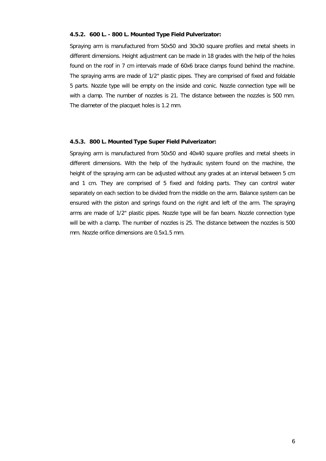#### <span id="page-6-0"></span>**4.5.2. 600 L. - 800 L. Mounted Type Field Pulverizator:**

Spraying arm is manufactured from 50x50 and 30x30 square profiles and metal sheets in different dimensions. Height adjustment can be made in 18 grades with the help of the holes found on the roof in 7 cm intervals made of 60x6 brace clamps found behind the machine. The spraying arms are made of 1/2" plastic pipes. They are comprised of fixed and foldable 5 parts. Nozzle type will be empty on the inside and conic. Nozzle connection type will be with a clamp. The number of nozzles is 21. The distance between the nozzles is 500 mm. The diameter of the placquet holes is 1.2 mm.

#### <span id="page-6-1"></span>**4.5.3. 800 L. Mounted Type Super Field Pulverizator:**

Spraying arm is manufactured from 50x50 and 40x40 square profiles and metal sheets in different dimensions. With the help of the hydraulic system found on the machine, the height of the spraying arm can be adjusted without any grades at an interval between 5 cm and 1 cm. They are comprised of 5 fixed and folding parts. They can control water separately on each section to be divided from the middle on the arm. Balance system can be ensured with the piston and springs found on the right and left of the arm. The spraying arms are made of 1/2" plastic pipes. Nozzle type will be fan beam. Nozzle connection type will be with a clamp. The number of nozzles is 25. The distance between the nozzles is 500 mm. Nozzle orifice dimensions are 0.5x1.5 mm.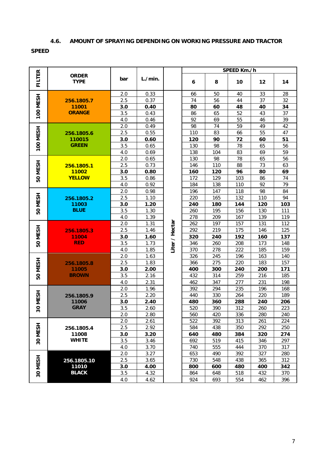## **4.6. AMOUNT OF SPRAYING DEPENDING ON WORKING PRESSURE AND TRACTOR**

## <span id="page-7-0"></span>**SPEED**

|                 |                                      |            |              |                | SPEED Km./h |            |            |            |            |  |
|-----------------|--------------------------------------|------------|--------------|----------------|-------------|------------|------------|------------|------------|--|
| <b>FILTER</b>   | <b>ORDER</b><br><b>TYPE</b>          | bar        | L./min.      |                | 6           | 8          | 10         | 12         | 14         |  |
|                 |                                      | 2.0        | 0.33         |                | 66          | 50         | 40         | 33         | 28         |  |
|                 | 256.1805.7                           | 2.5        | 0.37         |                | 74          | 56         | 44         | 37         | 32         |  |
| <b>100 MESH</b> | 11001                                | 3.0        | 0.40         |                | 80          | 60         | 48         | 40         | 34         |  |
|                 | <b>ORANGE</b>                        | 3.5        | 0.43         |                | 86          | 65         | 52         | 43         | 37         |  |
|                 |                                      | 4.0        | 0.46         |                | 92          | 69         | 55         | 46         | 39         |  |
|                 |                                      | 2.0        | 0.49         |                | 98          | 74         | 59         | 49         | 42         |  |
| <b>100 MESH</b> | 256.1805.6<br>110015<br><b>GREEN</b> | 2.5        | 0.55         |                | 110         | 83         | 66         | 55         | 47         |  |
|                 |                                      | 3.0        | 0.60         |                | 120         | 90         | 72         | 60         | 51         |  |
|                 |                                      | 3.5        | 0.65         |                | 130         | 98         | 78         | 65         | 56         |  |
|                 |                                      | 4.0        | 0.69         |                | 138         | 104        | 83         | 69         | 59         |  |
|                 |                                      | 2.0        | 0.65         |                | 130         | 98         | 78         | 65         | 56         |  |
|                 | 256.1805.1                           | 2.5        | 0.73         |                | 146         | 110        | 88         | 73         | 63         |  |
| 50 MESH         | 11002                                | 3.0        | 0.80         |                | 160         | 120        | 96         | 80         | 69         |  |
|                 | <b>YELLOW</b>                        | 3.5        | 0.86         |                | 172         | 129        | 103        | 86         | 74         |  |
|                 |                                      | 4.0        | 0.92         |                | 184         | 138        | 110        | 92         | 79         |  |
|                 |                                      | 2.0        | 0.98         |                | 196         | 147        | 118        | 98         | 84         |  |
|                 | 256.1805.2                           | 2.5        | 1.10         |                | 220         | 165        | 132        | 110        | 94         |  |
| 50 MESH         | 11003                                | 3.0        | 1.20         |                | 240         | 180        | 144        | 120        | 103        |  |
|                 | <b>BLUE</b>                          | 3.5        | 1.30         |                | 260         | 195        | 156        | 130        | 111        |  |
|                 |                                      | 4.0        | 1.39         |                | 278         | 209        | 167        | 139        | 119        |  |
|                 | 256.1805.3                           | 2.0        | 1.31         | Liter / Hectar | 262         | 197        | 157        | 131        | 112        |  |
|                 |                                      | 2.5        | 1.46         |                | 292         | 219        | 175        | 146        | 125        |  |
| 50 MESH         | 11004                                | 3.0        | 1.60         |                | 320         | 240        | 192        | 160        | 137        |  |
|                 | <b>RED</b>                           | 3.5        | 1.73         |                | 346         | 260        | 208        | 173        | 148        |  |
|                 |                                      | 4.0        | 1.85         |                | 370         | 278        | 222        | 185        | 159        |  |
|                 |                                      | 2.0        | 1.63         |                | 326         | 245        | 196        | 163        | 140        |  |
| 50 MESH         | 256.1805.8                           | 2.5        | 1.83         |                | 366         | 275        | 220        | 183        | 157        |  |
|                 | 11005<br><b>BROWN</b>                | 3.0        | 2.00         |                | 400         | 300        | 240        | 200        | 171        |  |
|                 |                                      | 3.5        | 2.16         |                | 432         | 314        | 259        | 216        | 185        |  |
|                 |                                      | 4.0<br>2.0 | 2.31<br>1.96 |                | 462<br>392  | 347<br>294 | 277<br>235 | 231<br>196 | 198<br>168 |  |
|                 |                                      | 2.5        | 2.20         |                | 440         |            | 264        | 220        | 189        |  |
| 30 MESH         | 256.1805.9<br>11006<br><b>GRAY</b>   |            |              |                |             | 330        |            |            | 206        |  |
|                 |                                      | 3.0<br>3.5 | 2.40<br>2.60 |                | 480<br>520  | 360<br>390 | 288<br>312 | 240<br>260 | 223        |  |
|                 |                                      | 2.0        | 2.80         |                | 560         | 420        | 336        | 280        | 240        |  |
|                 |                                      | 2.0        | 2.61         |                | 522         | 392        | 313        | 261        | 224        |  |
| 30 MESH         | 256.1805.4<br>11008<br><b>WHITE</b>  | 2.5        | 2.92         |                | 584         | 438        | 350        | 292        | 250        |  |
|                 |                                      | 3.0        | 3.20         |                | 640         | 480        | 384        | 320        | 274        |  |
|                 |                                      | 3.5        | 3.46         |                | 692         | 519        | 415        | 346        | 297        |  |
|                 |                                      | 4.0        | 3.70         |                | 740         | 555        | 444        | 370        | 317        |  |
|                 |                                      | 2.0        | 3.27         |                | 653         | 490        | 392        | 327        | 280        |  |
|                 | 256.1805.10                          | 2.5        | 3.65         |                | 730         | 548        | 438        | 365        | 312        |  |
| 30 MESH         | 11010                                | 3.0        | 4.00         |                | 800         | 600        | 480        | 400        | 342        |  |
|                 | <b>BLACK</b>                         | 3.5        | 4.32         |                | 864         | 648        | 518        | 432        | 370        |  |
|                 |                                      | 4.0        | 4.62         |                | 924         | 693        | 554        | 462        | 396        |  |
|                 |                                      |            |              |                |             |            |            |            |            |  |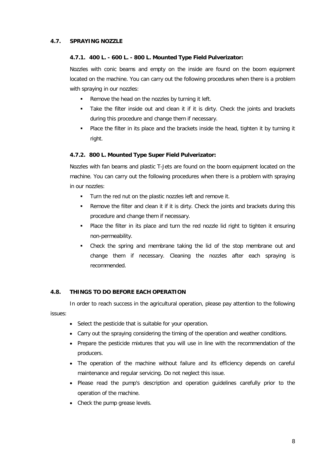## <span id="page-8-1"></span><span id="page-8-0"></span>**4.7. SPRAYING NOZZLE**

#### **4.7.1. 400 L. - 600 L. - 800 L. Mounted Type Field Pulverizator:**

Nozzles with conic beams and empty on the inside are found on the boom equipment located on the machine. You can carry out the following procedures when there is a problem with spraying in our nozzles:

- Remove the head on the nozzles by turning it left.
- Take the filter inside out and clean it if it is dirty. Check the joints and brackets during this procedure and change them if necessary.
- Place the filter in its place and the brackets inside the head, tighten it by turning it right.

## <span id="page-8-2"></span>**4.7.2. 800 L. Mounted Type Super Field Pulverizator:**

Nozzles with fan beams and plastic T-Jets are found on the boom equipment located on the machine. You can carry out the following procedures when there is a problem with spraying in our nozzles:

- **Turn the red nut on the plastic nozzles left and remove it.**
- Remove the filter and clean it if it is dirty. Check the joints and brackets during this procedure and change them if necessary.
- Place the filter in its place and turn the red nozzle lid right to tighten it ensuring non-permeability.
- Check the spring and membrane taking the lid of the stop membrane out and change them if necessary. Cleaning the nozzles after each spraying is recommended.

## <span id="page-8-3"></span>**4.8. THINGS TO DO BEFORE EACH OPERATION**

In order to reach success in the agricultural operation, please pay attention to the following issues:

- Select the pesticide that is suitable for your operation.
- Carry out the spraying considering the timing of the operation and weather conditions.
- Prepare the pesticide mixtures that you will use in line with the recommendation of the producers.
- The operation of the machine without failure and its efficiency depends on careful maintenance and regular servicing. Do not neglect this issue.
- Please read the pump's description and operation guidelines carefully prior to the operation of the machine.
- Check the pump grease levels.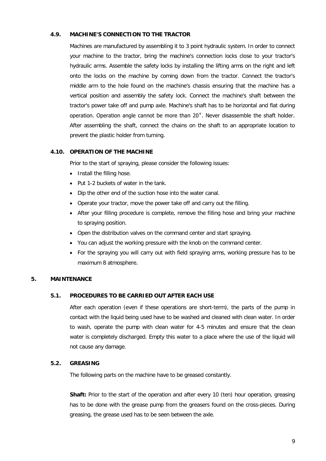#### <span id="page-9-0"></span>**4.9. MACHINE'S CONNECTION TO THE TRACTOR**

Machines are manufactured by assembling it to 3 point hydraulic system. In order to connect your machine to the tractor, bring the machine's connection locks close to your tractor's hydraulic arms. Assemble the safety locks by installing the lifting arms on the right and left onto the locks on the machine by coming down from the tractor. Connect the tractor's middle arm to the hole found on the machine's chassis ensuring that the machine has a vertical position and assembly the safety lock. Connect the machine's shaft between the tractor's power take off and pump axle. Machine's shaft has to be horizontal and flat during operation. Operation angle cannot be more than 20˚. Never disassemble the shaft holder. After assembling the shaft, connect the chains on the shaft to an appropriate location to prevent the plastic holder from turning.

#### <span id="page-9-1"></span>**4.10. OPERATION OF THE MACHINE**

Prior to the start of spraying, please consider the following issues:

- Install the filling hose.
- Put 1-2 buckets of water in the tank.
- Dip the other end of the suction hose into the water canal.
- Operate your tractor, move the power take off and carry out the filling.
- After your filling procedure is complete, remove the filling hose and bring your machine to spraying position.
- Open the distribution valves on the command center and start spraying.
- You can adjust the working pressure with the knob on the command center.
- For the spraying you will carry out with field spraying arms, working pressure has to be maximum 8 atmosphere.

## <span id="page-9-3"></span><span id="page-9-2"></span>**5. MAINTENANCE**

#### **5.1. PROCEDURES TO BE CARRIED OUT AFTER EACH USE**

After each operation (even if these operations are short-term), the parts of the pump in contact with the liquid being used have to be washed and cleaned with clean water. In order to wash, operate the pump with clean water for 4-5 minutes and ensure that the clean water is completely discharged. Empty this water to a place where the use of the liquid will not cause any damage.

#### <span id="page-9-4"></span>**5.2. GREASING**

The following parts on the machine have to be greased constantly.

**Shaft:** Prior to the start of the operation and after every 10 (ten) hour operation, greasing has to be done with the grease pump from the greasers found on the cross-pieces. During greasing, the grease used has to be seen between the axle.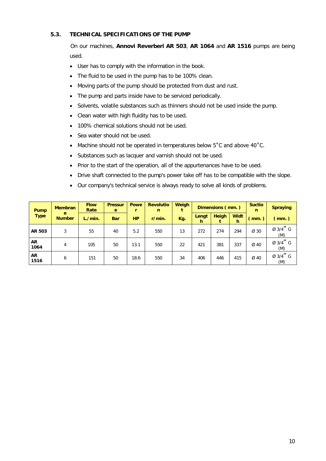## <span id="page-10-0"></span>**5.3. TECHNICAL SPECIFICATIONS OF THE PUMP**

On our machines, **Annovi Reverberi AR 503**, **AR 1064** and **AR 1516** pumps are being used.

- User has to comply with the information in the book.
- The fluid to be used in the pump has to be 100% clean.
- Moving parts of the pump should be protected from dust and rust.
- The pump and parts inside have to be serviced periodically.
- Solvents, volatile substances such as thinners should not be used inside the pump.
- Clean water with high fluidity has to be used.
- 100% chemical solutions should not be used.
- Sea water should not be used.
- Machine should not be operated in temperatures below 5°C and above 40°C.
- Substances such as lacquer and varnish should not be used.
- Prior to the start of the operation, all of the appurtenances have to be used.
- Drive shaft connected to the pump's power take off has to be compatible with the slope.
- Our company's technical service is always ready to solve all kinds of problems.

| Pump              | <b>Membran</b>     | <b>Flow</b><br>Rate | <b>Pressur</b><br>e | Powe      | <b>Revolutio</b><br>n | Weigh | Dimensions (mm.) |       | <b>Suctio</b><br>n | <b>Spraying</b> |                 |
|-------------------|--------------------|---------------------|---------------------|-----------|-----------------------|-------|------------------|-------|--------------------|-----------------|-----------------|
| <b>Type</b>       | e<br><b>Number</b> | L./min.             | <b>Bar</b>          | <b>HP</b> | r/min.                | Kg.   | Lengt<br>h.      | Heigh | <b>Widt</b><br>h   | (mm.)           | (mm.)           |
| AR 503            | 3                  | 55                  | 40                  | 5.2       | 550                   | 13    | 272              | 274   | 294                | Ø 30            | Ø 3/4" G<br>(M) |
| <b>AR</b><br>1064 | 4                  | 105                 | 50                  | 13.1      | 550                   | 22    | 421              | 381   | 337                | Ø 40            | Ø 3/4" G<br>(M) |
| <b>AR</b><br>1516 | 6                  | 151                 | 50                  | 18.6      | 550                   | 34    | 406              | 446   | 415                | Ø 40            | Ø 3/4" G<br>(M) |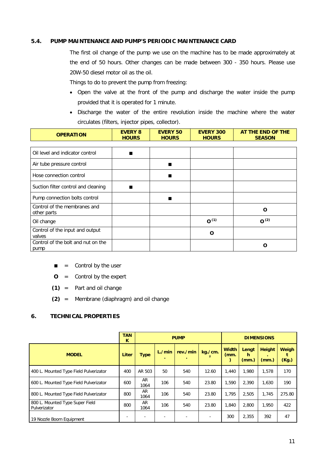#### <span id="page-11-0"></span>**5.4. PUMP MAINTENANCE AND PUMP'S PERIODIC MAINTENANCE CARD**

The first oil change of the pump we use on the machine has to be made approximately at the end of 50 hours. Other changes can be made between 300 - 350 hours. Please use 20W-50 diesel motor oil as the oil.

Things to do to prevent the pump from freezing:

- Open the valve at the front of the pump and discharge the water inside the pump provided that it is operated for 1 minute.
- Discharge the water of the entire revolution inside the machine where the water circulates (filters, injector pipes, collector).

| <b>OPERATION</b>                            | <b>EVERY 8</b><br><b>HOURS</b> | <b>EVERY 50</b><br><b>HOURS</b> | <b>EVERY 300</b><br><b>HOURS</b> | AT THE END OF THE<br><b>SEASON</b> |
|---------------------------------------------|--------------------------------|---------------------------------|----------------------------------|------------------------------------|
|                                             |                                |                                 |                                  |                                    |
| Oil level and indicator control             |                                |                                 |                                  |                                    |
| Air tube pressure control                   |                                | ■                               |                                  |                                    |
| Hose connection control                     |                                |                                 |                                  |                                    |
| Suction filter control and cleaning         |                                |                                 |                                  |                                    |
| Pump connection bolts control               |                                | ▆                               |                                  |                                    |
| Control of the membranes and<br>other parts |                                |                                 |                                  | O                                  |
| Oil change                                  |                                |                                 | $O^{(1)}$                        | O <sup>(2)</sup>                   |
| Control of the input and output<br>valves   |                                |                                 | O                                |                                    |
| Control of the bolt and nut on the<br>pump  |                                |                                 |                                  | O                                  |

- $\blacksquare$  = Control by the user
- **O** = Control by the expert
- **(1)** = Part and oil change
- **(2)** = Membrane (diaphragm) and oil change

## <span id="page-11-1"></span>**6. TECHNICAL PROPERTIES**

|                                                 | <b>TAN</b><br>K |             | <b>PUMP</b> | <b>DIMENSIONS</b> |              |                          |                     |                        |                       |
|-------------------------------------------------|-----------------|-------------|-------------|-------------------|--------------|--------------------------|---------------------|------------------------|-----------------------|
| <b>MODEL</b>                                    | Liter           | <b>Type</b> | L./min<br>۰ | rev./min          | kg./cm.<br>2 | <b>Width</b><br>$(mm)$ . | Lengt<br>h<br>(mm.) | <b>Height</b><br>(mm.) | <b>Weigh</b><br>(Kg.) |
| 400 L. Mounted Type Field Pulverizator          | 400             | AR 503      | 50          | 540               | 12.60        | 1.440                    | 1,980               | 1,578                  | 170                   |
| 600 L. Mounted Type Field Pulverizator          | 600             | AR<br>1064  | 106         | 540               | 23.80        | 1.590                    | 2,390               | 1,630                  | 190                   |
| 800 L. Mounted Type Field Pulverizator          | 800             | AR<br>1064  | 106         | 540               | 23.80        | 1.795                    | 2,505               | 1,745                  | 275.80                |
| 800 L. Mounted Type Super Field<br>Pulverizator | 800             | AR<br>1064  | 106         | 540               | 23.80        | 1,840                    | 2,800               | 1,950                  | 422                   |
| 19 Nozzle Boom Equipment                        |                 |             |             |                   |              | 300                      | 2,355               | 392                    | 47                    |